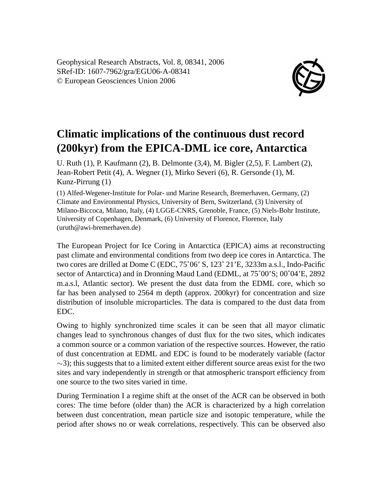Geophysical Research Abstracts, Vol. 8, 08341, 2006 SRef-ID: 1607-7962/gra/EGU06-A-08341 © European Geosciences Union 2006



## **Climatic implications of the continuous dust record (200kyr) from the EPICA-DML ice core, Antarctica**

U. Ruth (1), P. Kaufmann (2), B. Delmonte (3,4), M. Bigler (2,5), F. Lambert (2), Jean-Robert Petit (4), A. Wegner (1), Mirko Severi (6), R. Gersonde (1), M. Kunz-Pirrung (1)

(1) Alfed-Wegener-Institute for Polar- und Marine Research, Bremerhaven, Germany, (2) Climate and Environmental Physics, University of Bern, Switzerland, (3) University of Milano-Biccoca, Milano, Italy, (4) LGGE-CNRS, Grenoble, France, (5) Niels-Bohr Institute, University of Copenhagen, Denmark, (6) University of Florence, Florence, Italy (uruth@awi-bremerhaven.de)

The European Project for Ice Coring in Antarctica (EPICA) aims at reconstructing past climate and environmental conditions from two deep ice cores in Antarctica. The two cores are drilled at Dome C (EDC, 75˚06' S, 123˚ 21'E, 3233m a.s.l., Indo-Pacific sector of Antarctica) and in Dronning Maud Land (EDML, at 75˚00'S; 00˚04'E, 2892 m.a.s.l, Atlantic sector). We present the dust data from the EDML core, which so far has been analysed to 2564 m depth (approx. 200kyr) for concentration and size distribution of insoluble microparticles. The data is compared to the dust data from EDC.

Owing to highly synchronized time scales it can be seen that all mayor climatic changes lead to synchronous changes of dust flux for the two sites, which indicates a common source or a common variation of the respective sources. However, the ratio of dust concentration at EDML and EDC is found to be moderately variable (factor  $\sim$ 3); this suggests that to a limited extent either different source areas exist for the two sites and vary independently in strength or that atmospheric transport efficiency from one source to the two sites varied in time.

During Termination I a regime shift at the onset of the ACR can be observed in both cores: The time before (older than) the ACR is characterized by a high correlation between dust concentration, mean particle size and isotopic temperature, while the period after shows no or weak correlations, respectively. This can be observed also